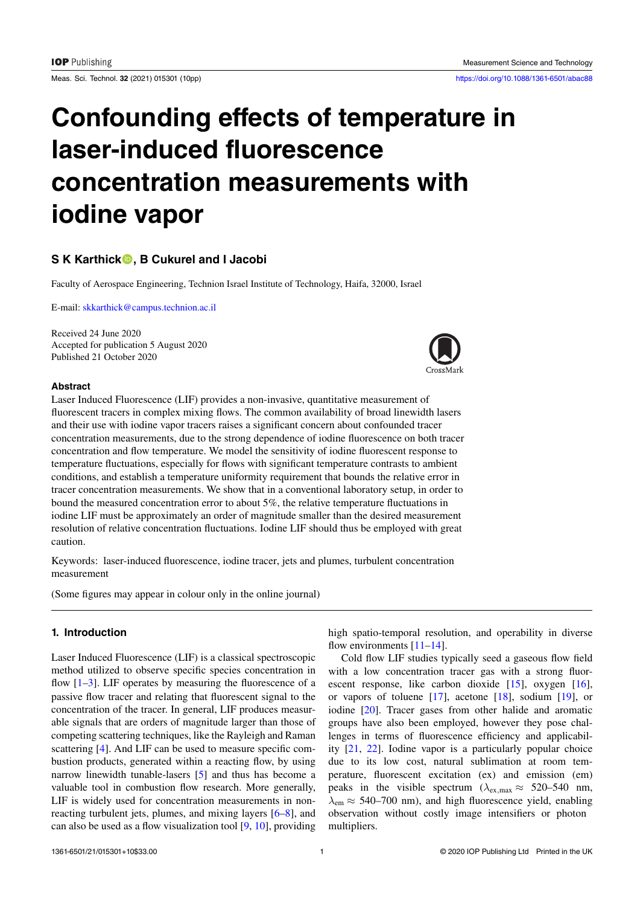Meas. Sci. Technol. **32** (2021) 015301 (10pp) <https://doi.org/10.1088/1361-6501/abac88>

# **Confounding effects of temperature in laser-induced fluorescence concentration measurements with iodine vapor**

# **S K Karthick, B Cukurel and I Jacobi**

Faculty of Aerospace Engineering, Technion Israel Institute of Technology, Haifa, 32000, Israel

E-mail: [skkarthick@campus.technion.ac.il](mailto:skkarthick@campus.technion.ac.il)

Received 24 June 2020 Accepted for publication 5 August 2020 Published 21 October 2020



#### **Abstract**

Laser Induced Fluorescence (LIF) provides a non-invasive, quantitative measurement of fluorescent tracers in complex mixing flows. The common availability of broad linewidth lasers and their use with iodine vapor tracers raises a significant concern about confounded tracer concentration measurements, due to the strong dependence of iodine fluorescence on both tracer concentration and flow temperature. We model the sensitivity of iodine fluorescent response to temperature fluctuations, especially for flows with significant temperature contrasts to ambient conditions, and establish a temperature uniformity requirement that bounds the relative error in tracer concentration measurements. We show that in a conventional laboratory setup, in order to bound the measured concentration error to about 5%, the relative temperature fluctuations in iodine LIF must be approximately an order of magnitude smaller than the desired measurement resolution of relative concentration fluctuations. Iodine LIF should thus be employed with great caution.

Keywords: laser-induced fluorescence, iodine tracer, jets and plumes, turbulent concentration measurement

(Some figures may appear in colour only in the online journal)

# **1. Introduction**

Laser Induced Fluorescence (LIF) is a classical spectroscopic method utilized to observe specific species concentration in flow $[1-3]$  $[1-3]$ . LIF operates by measuring the fluorescence of a passive flow tracer and relating that fluorescent signal to the concentration of the tracer. In general, LIF produces measurable signals that are orders of magnitude larger than those of competing scattering techniques, like the Rayleigh and Raman scattering[[4\]](#page-7-2). And LIF can be used to measure specific combustion products, generated within a reacting flow, by using narrow linewidth tunable-lasers[[5\]](#page-7-3) and thus has become a valuable tool in combustion flow research. More generally, LIF is widely used for concentration measurements in nonreacting turbulent jets, plumes, and mixing layers [\[6](#page-7-4)[–8](#page-7-5)], and can also be used as a flow visualization tool[[9,](#page-7-6) [10\]](#page-7-7), providing high spatio-temporal resolution, and operability in diverse flowenvironments  $[11-14]$  $[11-14]$ .

Cold flow LIF studies typically seed a gaseous flow field with a low concentration tracer gas with a strong fluorescent response, like carbon dioxide[[15\]](#page-7-10), oxygen[[16\]](#page-7-11), or vapors of toluene[[17\]](#page-7-12), acetone[[18\]](#page-7-13), sodium[[19\]](#page-7-14), or iodine[[20\]](#page-7-15). Tracer gases from other halide and aromatic groups have also been employed, however they pose challenges in terms of fluorescence efficiency and applicability [\[21](#page-8-0), [22](#page-8-1)]. Iodine vapor is a particularly popular choice due to its low cost, natural sublimation at room temperature, fluorescent excitation (ex) and emission (em) peaks in the visible spectrum ( $\lambda_{\text{ex max}} \approx 520-540$  nm,  $\lambda_{\rm em} \approx 540$ –700 nm), and high fluorescence yield, enabling observation without costly image intensifiers or photon multipliers.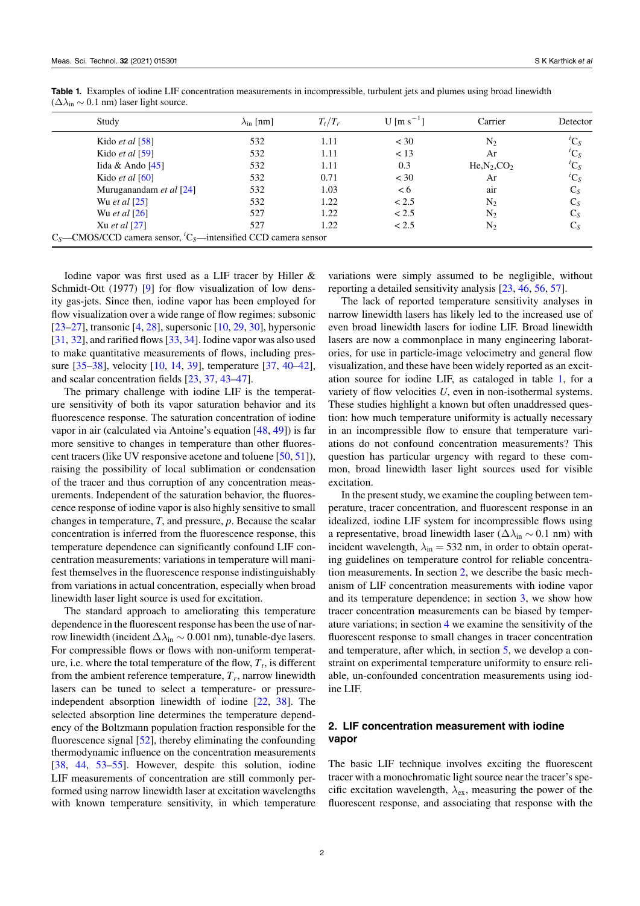| Study                                                                                            | $\lambda_{\rm in}$ [nm] | $T_t/T_r$ | U [m s <sup>-1</sup> ] | Carrier         | Detector      |
|--------------------------------------------------------------------------------------------------|-------------------------|-----------|------------------------|-----------------|---------------|
| Kido <i>et al</i> [58]                                                                           | 532                     | 1.11      | $<$ 30                 | N <sub>2</sub>  | ${}^{i}C_{S}$ |
| Kido <i>et al</i> [59]                                                                           | 532                     | 1.11      | < 13                   | Ar              | ${}^{i}C_S$   |
| Iida & Ando $[45]$                                                                               | 532                     | 1.11      | 0.3                    | $He, N_2, CO_2$ | ${}^{i}C_{S}$ |
| Kido <i>et al</i> [60]                                                                           | 532                     | 0.71      | $<$ 30                 | Ar              | ${}^{i}C_{S}$ |
| Muruganandam et al [24]                                                                          | 532                     | 1.03      | < 6                    | air             | $C_S$         |
| Wu et al $[25]$                                                                                  | 532                     | 1.22      | < 2.5                  | N <sub>2</sub>  | $C_S$         |
| Wu et al $[26]$                                                                                  | 527                     | 1.22      | < 2.5                  | N <sub>2</sub>  | $C_S$         |
| Xu <i>et al</i> $[27]$                                                                           | 527                     | 1.22      | < 2.5                  | N <sub>2</sub>  | $C_S$         |
| $C_S$ —CMOS/CCD camera sensor, <sup><i>i</i></sup> C <sub>S</sub> —intensified CCD camera sensor |                         |           |                        |                 |               |

<span id="page-1-0"></span>**Table 1.** Examples of iodine LIF concentration measurements in incompressible, turbulent jets and plumes using broad linewidth  $(\Delta\lambda_{\rm in} \sim 0.1 \text{ nm})$  laser light source.

Iodine vapor was first used as a LIF tracer by Hiller & Schmidt-Ott(1977) [[9\]](#page-7-6) for flow visualization of low density gas-jets. Since then, iodine vapor has been employed for flow visualization over a wide range of flow regimes: subsonic [\[23](#page-8-8)[–27](#page-8-7)], transonic [\[4](#page-7-2), [28](#page-8-9)], supersonic [\[10](#page-7-7), [29](#page-8-10), [30\]](#page-8-11), hypersonic [\[31](#page-8-12), [32](#page-8-13)], and rarified flows[[33,](#page-8-14) [34](#page-8-15)]. Iodine vapor was also used to make quantitative measurements of flows, including pressure[[35–](#page-8-16)[38\]](#page-8-17), velocity [\[10](#page-7-7), [14,](#page-7-9) [39](#page-8-18)], temperature [\[37](#page-8-19), [40–](#page-8-20)[42\]](#page-8-21), and scalar concentration fields[[23](#page-8-8), [37](#page-8-19), [43](#page-8-22)[–47](#page-8-23)].

The primary challenge with iodine LIF is the temperature sensitivity of both its vapor saturation behavior and its fluorescence response. The saturation concentration of iodine vapor in air (calculated via Antoine's equation [\[48](#page-8-24), [49](#page-8-25)]) is far more sensitive to changes in temperature than other fluorescent tracers (like UV responsive acetone and toluene[[50,](#page-8-26) [51](#page-8-27)]), raising the possibility of local sublimation or condensation of the tracer and thus corruption of any concentration measurements. Independent of the saturation behavior, the fluorescence response of iodine vapor is also highly sensitive to small changes in temperature, *T*, and pressure, *p*. Because the scalar concentration is inferred from the fluorescence response, this temperature dependence can significantly confound LIF concentration measurements: variations in temperature will manifest themselves in the fluorescence response indistinguishably from variations in actual concentration, especially when broad linewidth laser light source is used for excitation.

The standard approach to ameliorating this temperature dependence in the fluorescent response has been the use of narrow linewidth (incident ∆*λ*in *∼* 0*.*001 nm), tunable-dye lasers. For compressible flows or flows with non-uniform temperature, i.e. where the total temperature of the flow,  $T_t$ , is different from the ambient reference temperature, *T<sup>r</sup>* , narrow linewidth lasers can be tuned to select a temperature- or pressureindependent absorption linewidth of iodine [\[22](#page-8-1), [38](#page-8-17)]. The selected absorption line determines the temperature dependency of the Boltzmann population fraction responsible for the fluorescencesignal [[52\]](#page-8-28), thereby eliminating the confounding thermodynamic influence on the concentration measurements [\[38](#page-8-17), [44](#page-8-29), [53](#page-8-30)[–55](#page-8-31)]. However, despite this solution, iodine LIF measurements of concentration are still commonly performed using narrow linewidth laser at excitation wavelengths with known temperature sensitivity, in which temperature variations were simply assumed to be negligible, without reporting a detailed sensitivity analysis [\[23](#page-8-8), [46](#page-8-32), [56](#page-8-33), [57](#page-8-34)].

The lack of reported temperature sensitivity analyses in narrow linewidth lasers has likely led to the increased use of even broad linewidth lasers for iodine LIF. Broad linewidth lasers are now a commonplace in many engineering laboratories, for use in particle-image velocimetry and general flow visualization, and these have been widely reported as an excitation source for iodine LIF, as cataloged in table [1,](#page-1-0) for a variety of flow velocities *U*, even in non-isothermal systems. These studies highlight a known but often unaddressed question: how much temperature uniformity is actually necessary in an incompressible flow to ensure that temperature variations do not confound concentration measurements? This question has particular urgency with regard to these common, broad linewidth laser light sources used for visible excitation.

In the present study, we examine the coupling between temperature, tracer concentration, and fluorescent response in an idealized, iodine LIF system for incompressible flows using a representative, broad linewidth laser ( $\Delta\lambda_{in} \sim 0.1$  nm) with incident wavelength,  $\lambda_{in} = 532$  nm, in order to obtain operating guidelines on temperature control for reliable concentration measurements. In section [2](#page-1-1), we describe the basic mechanism of LIF concentration measurements with iodine vapor and its temperature dependence; in section [3](#page-3-0), we show how tracer concentration measurements can be biased by temperature variations; in section [4](#page-4-0) we examine the sensitivity of the fluorescent response to small changes in tracer concentration and temperature, after which, in section [5,](#page-5-0) we develop a constraint on experimental temperature uniformity to ensure reliable, un-confounded concentration measurements using iodine LIF.

# <span id="page-1-1"></span>**2. LIF concentration measurement with iodine vapor**

The basic LIF technique involves exciting the fluorescent tracer with a monochromatic light source near the tracer's specific excitation wavelength,  $\lambda_{\rm ex}$ , measuring the power of the fluorescent response, and associating that response with the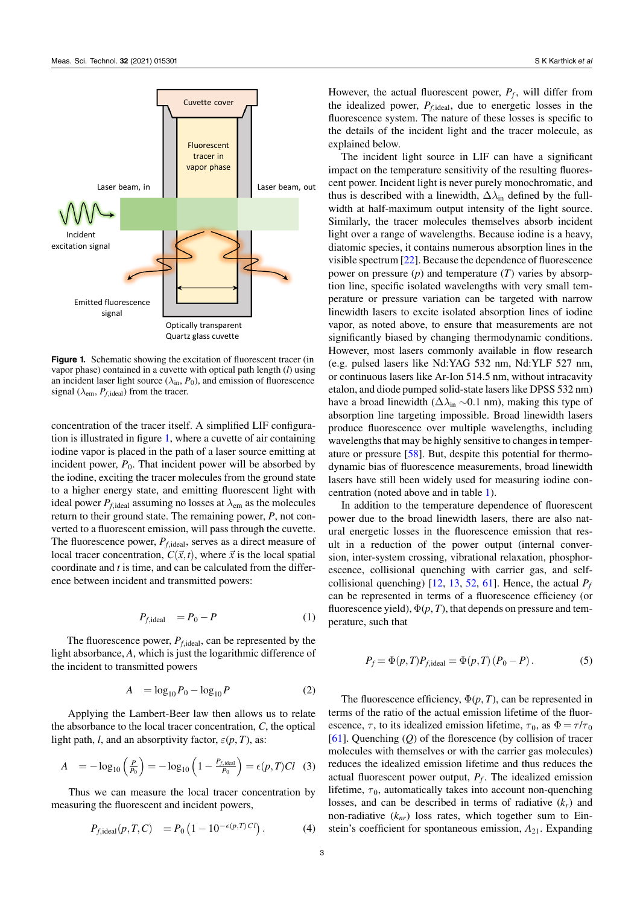<span id="page-2-0"></span>

**Figure 1.** Schematic showing the excitation of fluorescent tracer (in vapor phase) contained in a cuvette with optical path length (*l*) using an incident laser light source  $(\lambda_{in}, P_0)$ , and emission of fluorescence signal ( $\lambda_{em}$ ,  $P_{f,\text{ideal}}$ ) from the tracer.

concentration of the tracer itself. A simplified LIF configuration is illustrated in figure [1](#page-2-0), where a cuvette of air containing iodine vapor is placed in the path of a laser source emitting at incident power,  $P_0$ . That incident power will be absorbed by the iodine, exciting the tracer molecules from the ground state to a higher energy state, and emitting fluorescent light with ideal power  $P_{f,\text{ideal}}$  assuming no losses at  $\lambda_{\text{em}}$  as the molecules return to their ground state. The remaining power, *P*, not converted to a fluorescent emission, will pass through the cuvette. The fluorescence power,  $P_{f,\text{ideal}}$ , serves as a direct measure of local tracer concentration,  $C(\vec{x}, t)$ , where  $\vec{x}$  is the local spatial coordinate and *t* is time, and can be calculated from the difference between incident and transmitted powers:

$$
P_{f,\text{ideal}} = P_0 - P \tag{1}
$$

The fluorescence power,  $P_{f,\text{ideal}}$ , can be represented by the light absorbance, *A*, which is just the logarithmic difference of the incident to transmitted powers

$$
A = \log_{10} P_0 - \log_{10} P \tag{2}
$$

Applying the Lambert-Beer law then allows us to relate the absorbance to the local tracer concentration, *C*, the optical light path, *l*, and an absorptivity factor,  $\varepsilon(p, T)$ , as:

$$
A = -\log_{10}\left(\frac{P}{P_0}\right) = -\log_{10}\left(1 - \frac{P_{f,\text{ideal}}}{P_0}\right) = \epsilon(p, T)Cl \quad (3)
$$

Thus we can measure the local tracer concentration by measuring the fluorescent and incident powers,

$$
P_{f,\text{ideal}}(p,T,C) = P_0 \left( 1 - 10^{-\epsilon(p,T) \, C} \right). \tag{4}
$$

However, the actual fluorescent power, *P<sup>f</sup>* , will differ from the idealized power, *Pf,*ideal, due to energetic losses in the fluorescence system. The nature of these losses is specific to the details of the incident light and the tracer molecule, as explained below.

The incident light source in LIF can have a significant impact on the temperature sensitivity of the resulting fluorescent power. Incident light is never purely monochromatic, and thus is described with a linewidth,  $\Delta\lambda_{\text{in}}$  defined by the fullwidth at half-maximum output intensity of the light source. Similarly, the tracer molecules themselves absorb incident light over a range of wavelengths. Because iodine is a heavy, diatomic species, it contains numerous absorption lines in the visible spectrum[[22\]](#page-8-1). Because the dependence of fluorescence power on pressure (*p*) and temperature (*T*) varies by absorption line, specific isolated wavelengths with very small temperature or pressure variation can be targeted with narrow linewidth lasers to excite isolated absorption lines of iodine vapor, as noted above, to ensure that measurements are not significantly biased by changing thermodynamic conditions. However, most lasers commonly available in flow research (e.g. pulsed lasers like Nd:YAG 532 nm, Nd:YLF 527 nm, or continuous lasers like Ar-Ion 514.5 nm, without intracavity etalon, and diode pumped solid-state lasers like DPSS 532 nm) have a broad linewidth (∆*λ*in *∼*0.1 nm), making this type of absorption line targeting impossible. Broad linewidth lasers produce fluorescence over multiple wavelengths, including wavelengths that may be highly sensitive to changes in temperature or pressure[[58\]](#page-8-2). But, despite this potential for thermodynamic bias of fluorescence measurements, broad linewidth lasers have still been widely used for measuring iodine concentration (noted above and in table [1](#page-1-0)).

In addition to the temperature dependence of fluorescent power due to the broad linewidth lasers, there are also natural energetic losses in the fluorescence emission that result in a reduction of the power output (internal conversion, inter-system crossing, vibrational relaxation, phosphorescence, collisional quenching with carrier gas, and selfcollisionalquenching)  $[12, 13, 52, 61]$  $[12, 13, 52, 61]$  $[12, 13, 52, 61]$  $[12, 13, 52, 61]$  $[12, 13, 52, 61]$  $[12, 13, 52, 61]$  $[12, 13, 52, 61]$  $[12, 13, 52, 61]$  $[12, 13, 52, 61]$ . Hence, the actual  $P_f$ can be represented in terms of a fluorescence efficiency (or fluorescence yield),  $\Phi(p, T)$ , that depends on pressure and temperature, such that

$$
P_f = \Phi(p, T) P_{f, \text{ideal}} = \Phi(p, T) (P_0 - P).
$$
 (5)

<span id="page-2-1"></span>The fluorescence efficiency,  $\Phi(p, T)$ , can be represented in terms of the ratio of the actual emission lifetime of the fluorescence,  $\tau$ , to its idealized emission lifetime,  $\tau_0$ , as  $\Phi = \tau/\tau_0$ [[61\]](#page-9-2). Quenching (*Q*) of the florescence (by collision of tracer molecules with themselves or with the carrier gas molecules) reduces the idealized emission lifetime and thus reduces the actual fluorescent power output, *P<sup>f</sup>* . The idealized emission lifetime,  $\tau_0$ , automatically takes into account non-quenching losses, and can be described in terms of radiative  $(k_r)$  and non-radiative  $(k_{nr})$  loss rates, which together sum to Einstein's coefficient for spontaneous emission, *A*21. Expanding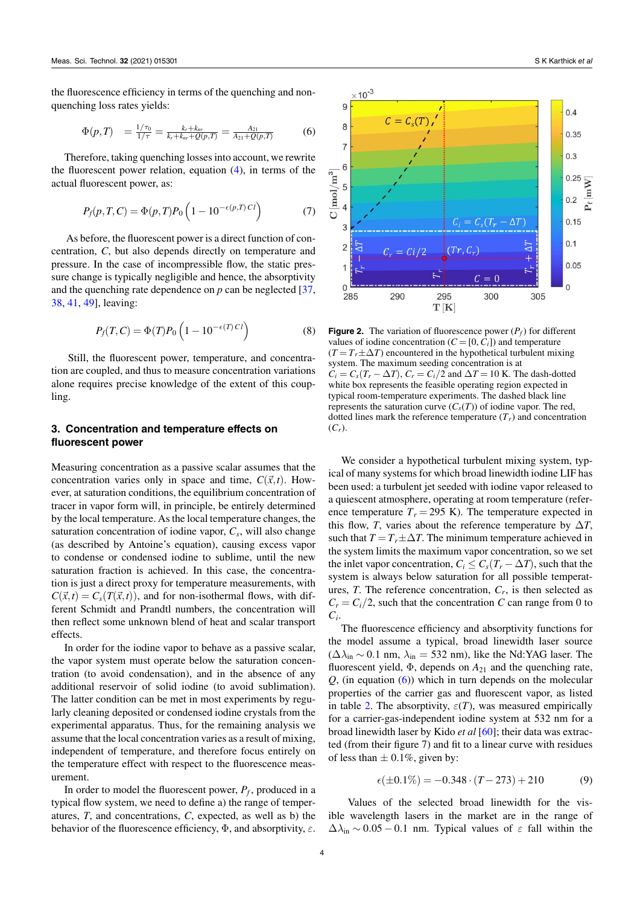the fluorescence efficiency in terms of the quenching and nonquenching loss rates yields:

<span id="page-3-1"></span>
$$
\Phi(p,T) = \frac{1/\tau_0}{1/\tau} = \frac{k_r + k_{nr}}{k_r + k_{nr} + Q(p,T)} = \frac{A_{21}}{A_{21} + Q(p,T)} \tag{6}
$$

Therefore, taking quenching losses into account, we rewrite the fluorescent power relation, equation([4\)](#page-2-1), in terms of the actual fluorescent power, as:

$$
P_f(p,T,C) = \Phi(p,T)P_0\left(1 - 10^{-\epsilon(p,T)Cl}\right) \tag{7}
$$

As before, the fluorescent power is a direct function of concentration, *C*, but also depends directly on temperature and pressure. In the case of incompressible flow, the static pressure change is typically negligible and hence, the absorptivity and the quenching rate dependence on  $p$  can be neglected  $[37]$ , [38,](#page-8-17) [41,](#page-8-35) [49\]](#page-8-25), leaving:

<span id="page-3-3"></span>
$$
P_f(T, C) = \Phi(T) P_0 \left( 1 - 10^{-\epsilon(T) C l} \right)
$$
 (8)

Still, the fluorescent power, temperature, and concentration are coupled, and thus to measure concentration variations alone requires precise knowledge of the extent of this coupling.

## <span id="page-3-0"></span>**3. Concentration and temperature effects on fluorescent power**

Measuring concentration as a passive scalar assumes that the concentration varies only in space and time,  $C(\vec{x}, t)$ . However, at saturation conditions, the equilibrium concentration of tracer in vapor form will, in principle, be entirely determined by the local temperature. As the local temperature changes, the saturation concentration of iodine vapor, *C<sup>s</sup>* , will also change (as described by Antoine's equation), causing excess vapor to condense or condensed iodine to sublime, until the new saturation fraction is achieved. In this case, the concentration is just a direct proxy for temperature measurements, with  $C(\vec{x}, t) = C_s(T(\vec{x}, t))$ , and for non-isothermal flows, with different Schmidt and Prandtl numbers, the concentration will then reflect some unknown blend of heat and scalar transport effects.

In order for the iodine vapor to behave as a passive scalar, the vapor system must operate below the saturation concentration (to avoid condensation), and in the absence of any additional reservoir of solid iodine (to avoid sublimation). The latter condition can be met in most experiments by regularly cleaning deposited or condensed iodine crystals from the experimental apparatus. Thus, for the remaining analysis we assume that the local concentration varies as a result of mixing, independent of temperature, and therefore focus entirely on the temperature effect with respect to the fluorescence measurement.

In order to model the fluorescent power, *P<sup>f</sup>* , produced in a typical flow system, we need to define a) the range of temperatures, *T*, and concentrations, *C*, expected, as well as b) the behavior of the fluorescence efficiency, Φ, and absorptivity, *ε*.

<span id="page-3-2"></span>

**Figure 2.** The variation of fluorescence power  $(P_f)$  for different values of iodine concentration  $(C = [0, C_i])$  and temperature  $(T = T_r \pm \Delta T)$  encountered in the hypothetical turbulent mixing system. The maximum seeding concentration is at  $C_i = C_s(T_r - \Delta T)$ ,  $C_r = C_i/2$  and  $\Delta T = 10$  K. The dash-dotted white box represents the feasible operating region expected in typical room-temperature experiments. The dashed black line represents the saturation curve  $(C_s(T))$  of iodine vapor. The red, dotted lines mark the reference temperature  $(T_r)$  and concentration  $(C_r)$ .

We consider a hypothetical turbulent mixing system, typical of many systems for which broad linewidth iodine LIF has been used: a turbulent jet seeded with iodine vapor released to a quiescent atmosphere, operating at room temperature (reference temperature  $T_r = 295$  K). The temperature expected in this flow, *T*, varies about the reference temperature by  $\Delta T$ , such that  $T = T_r \pm \Delta T$ . The minimum temperature achieved in the system limits the maximum vapor concentration, so we set the inlet vapor concentration,  $C_i \leq C_s(T_r - \Delta T)$ , such that the system is always below saturation for all possible temperatures,  $T$ . The reference concentration,  $C_r$ , is then selected as  $C_r = C_i/2$ , such that the concentration *C* can range from 0 to  $C_i$ .

The fluorescence efficiency and absorptivity functions for the model assume a typical, broad linewidth laser source  $(\Delta\lambda_{\rm in} \sim 0.1 \text{ nm}, \lambda_{\rm in} = 532 \text{ nm})$ , like the Nd:YAG laser. The fluorescent yield,  $\Phi$ , depends on  $A_{21}$  and the quenching rate,  $Q$ ,(in equation  $(6)$  $(6)$ ) which in turn depends on the molecular properties of the carrier gas and fluorescent vapor, as listed in table [2.](#page-4-1) The absorptivity,  $\varepsilon(T)$ , was measured empirically for a carrier-gas-independent iodine system at 532 nm for a broad linewidth laser by Kido *et al* [\[60](#page-9-1)]; their data was extracted (from their figure 7) and fit to a linear curve with residues of less than  $\pm$  0.1%, given by:

<span id="page-3-4"></span>
$$
\epsilon(\pm 0.1\%) = -0.348 \cdot (T - 273) + 210 \tag{9}
$$

Values of the selected broad linewidth for the visible wavelength lasers in the market are in the range of  $\Delta\lambda_{\rm in} \sim 0.05 - 0.1$  nm. Typical values of  $\varepsilon$  fall within the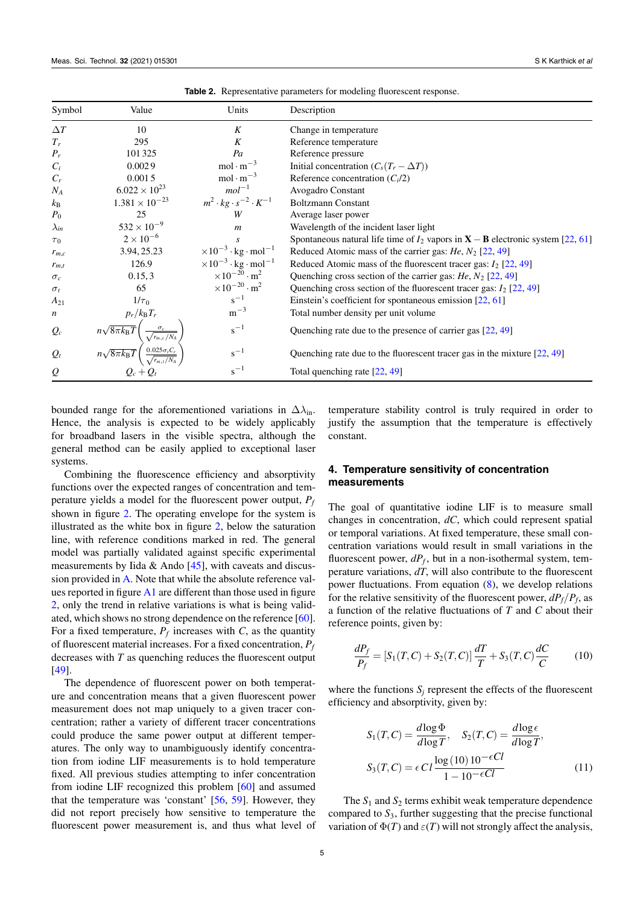<span id="page-4-1"></span>

| Symbol           | Value                                                                                                                                                                                   | Units                                                  | Description                                                                         |
|------------------|-----------------------------------------------------------------------------------------------------------------------------------------------------------------------------------------|--------------------------------------------------------|-------------------------------------------------------------------------------------|
| $\Delta T$       | 10                                                                                                                                                                                      | K                                                      | Change in temperature                                                               |
| $T_r$            | 295                                                                                                                                                                                     | K                                                      | Reference temperature                                                               |
| $P_r$            | 101325                                                                                                                                                                                  | Pa                                                     | Reference pressure                                                                  |
| $C_i$            | 0.0029                                                                                                                                                                                  | $mol \cdot m^{-3}$                                     | Initial concentration $(C_s(T_r - \Delta T))$                                       |
| $C_r$            | 0.0015                                                                                                                                                                                  | $mol \cdot m^{-3}$                                     | Reference concentration $(Ci/2)$                                                    |
| $N_A$            | $6.022 \times 10^{23}$                                                                                                                                                                  | $mol^{-1}$                                             | Avogadro Constant                                                                   |
| $k_{\rm B}$      | $1.381 \times 10^{-23}$                                                                                                                                                                 | $m^2 \cdot kg \cdot s^{-2} \cdot K^{-1}$               | <b>Boltzmann Constant</b>                                                           |
| $P_0$            | 25                                                                                                                                                                                      | W                                                      | Average laser power                                                                 |
| $\lambda_{in}$   | $532 \times 10^{-9}$                                                                                                                                                                    | $\boldsymbol{m}$                                       | Wavelength of the incident laser light                                              |
| $\tau_0$         | $2 \times 10^{-6}$                                                                                                                                                                      | S                                                      | Spontaneous natural life time of $I_2$ vapors in $X - B$ electronic system [22, 61] |
| $r_{m,c}$        | 3.94, 25.23                                                                                                                                                                             | $\times 10^{-3} \cdot \text{kg} \cdot \text{mol}^{-1}$ | Reduced Atomic mass of the carrier gas: $He$ , $N_2$ [22, 49]                       |
| $r_{m,t}$        | 126.9                                                                                                                                                                                   | $\times 10^{-3} \cdot \text{kg} \cdot \text{mol}^{-1}$ | Reduced Atomic mass of the fluorescent tracer gas: $I_2$ [22, 49]                   |
| $\sigma_c$       | 0.15, 3                                                                                                                                                                                 | $\times 10^{-20} \cdot m^2$                            | Quenching cross section of the carrier gas: $He$ , $N_2$ [22, 49]                   |
| $\sigma_t$       | 65                                                                                                                                                                                      | $\times 10^{-20} \cdot m^2$                            | Quenching cross section of the fluorescent tracer gas: $I_2$ [22, 49]               |
| $A_{21}$         | $1/\tau_0$                                                                                                                                                                              | $s^{-1}$                                               | Einstein's coefficient for spontaneous emission $[22, 61]$                          |
| $\boldsymbol{n}$ |                                                                                                                                                                                         | $m^{-3}$                                               | Total number density per unit volume                                                |
| $Q_c$            | $\frac{p_r/k_\text{B}T_r}{n\sqrt{8\pi k_\text{B}T}}\left(\frac{\sigma_c}{\sqrt{r_{m,c}/N_A}}\right) \ n\sqrt{8\pi k_\text{B}T}\left(\frac{0.025\sigma_tC_r}{\sqrt{r_{m,t}/N_A}}\right)$ | $s^{-1}$                                               | Quenching rate due to the presence of carrier gas $[22, 49]$                        |
| $Q_t$            |                                                                                                                                                                                         | $s^{-1}$                                               | Quenching rate due to the fluorescent tracer gas in the mixture $[22, 49]$          |
| $\mathcal{Q}$    | $Q_c + Q_t$                                                                                                                                                                             | $s^{-1}$                                               | Total quenching rate [22, 49]                                                       |

**Table 2.** Representative parameters for modeling fluorescent response.

bounded range for the aforementioned variations in ∆*λ*in. Hence, the analysis is expected to be widely applicably for broadband lasers in the visible spectra, although the general method can be easily applied to exceptional laser systems.

Combining the fluorescence efficiency and absorptivity functions over the expected ranges of concentration and temperature yields a model for the fluorescent power output, *P<sup>f</sup>* shown in figure [2](#page-3-2). The operating envelope for the system is illustrated as the white box in figure [2](#page-3-2), below the saturation line, with reference conditions marked in red. The general model was partially validated against specific experimental measurements by Iida & Ando  $[45]$ , with caveats and discussion provided in [A](#page-6-0). Note that while the absolute reference values reported in figure [A1](#page-7-18) are different than those used in figure [2,](#page-3-2) only the trend in relative variations is what is being validated, which shows no strong dependence on the reference[[60\]](#page-9-1). For a fixed temperature,  $P_f$  increases with *C*, as the quantity of fluorescent material increases. For a fixed concentration, *P<sup>f</sup>* decreases with *T* as quenching reduces the fluorescent output [\[49](#page-8-25)].

The dependence of fluorescent power on both temperature and concentration means that a given fluorescent power measurement does not map uniquely to a given tracer concentration; rather a variety of different tracer concentrations could produce the same power output at different temperatures. The only way to unambiguously identify concentration from iodine LIF measurements is to hold temperature fixed. All previous studies attempting to infer concentration from iodine LIF recognized this problem [\[60](#page-9-1)] and assumed that the temperature was 'constant' [\[56](#page-8-33), [59\]](#page-9-0). However, they did not report precisely how sensitive to temperature the fluorescent power measurement is, and thus what level of temperature stability control is truly required in order to justify the assumption that the temperature is effectively constant.

#### <span id="page-4-0"></span>**4. Temperature sensitivity of concentration measurements**

The goal of quantitative iodine LIF is to measure small changes in concentration, *dC*, which could represent spatial or temporal variations. At fixed temperature, these small concentration variations would result in small variations in the fluorescent power, *dP<sup>f</sup>* , but in a non-isothermal system, temperature variations, *dT*, will also contribute to the fluorescent power fluctuations. From equation([8\)](#page-3-3), we develop relations for the relative sensitivity of the fluorescent power,  $dP_f/P_f$ , as a function of the relative fluctuations of *T* and *C* about their reference points, given by:

<span id="page-4-2"></span>
$$
\frac{dP_f}{P_f} = [S_1(T, C) + S_2(T, C)] \frac{dT}{T} + S_3(T, C) \frac{dC}{C}
$$
(10)

where the functions  $S_i$  represent the effects of the fluorescent efficiency and absorptivity, given by:

$$
S_1(T, C) = \frac{d \log \Phi}{d \log T}, \quad S_2(T, C) = \frac{d \log \epsilon}{d \log T},
$$
  

$$
S_3(T, C) = \epsilon C l \frac{\log (10) 10^{-\epsilon C l}}{1 - 10^{-\epsilon C l}} \tag{11}
$$

The  $S_1$  and  $S_2$  terms exhibit weak temperature dependence compared to  $S_3$ , further suggesting that the precise functional variation of  $\Phi(T)$  and  $\varepsilon(T)$  will not strongly affect the analysis,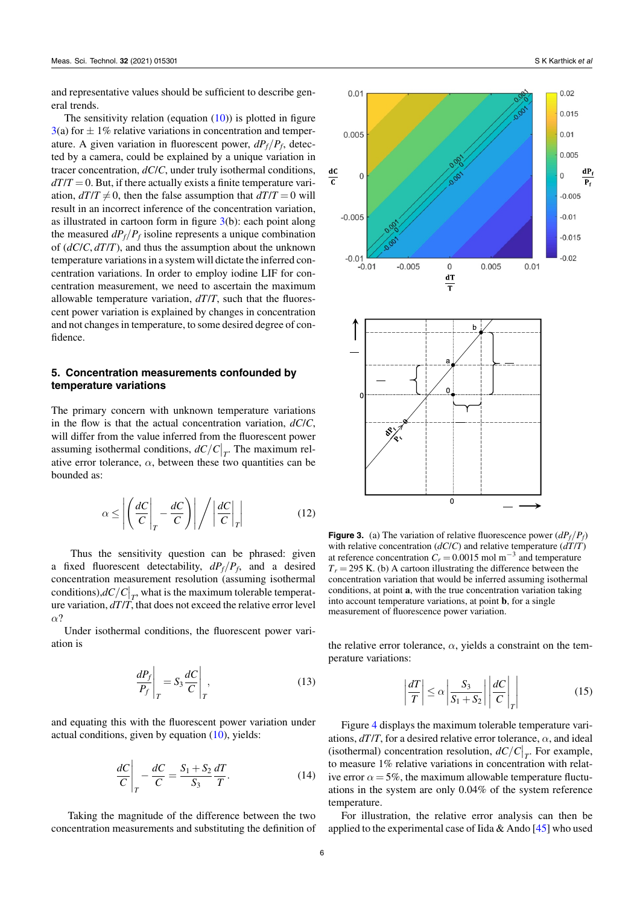and representative values should be sufficient to describe general trends.

Thesensitivity relation (equation  $(10)$  $(10)$ ) is plotted in figure  $3(a)$  $3(a)$  for  $\pm 1\%$  relative variations in concentration and temperature. A given variation in fluorescent power, *dPf/P<sup>f</sup>* , detected by a camera, could be explained by a unique variation in tracer concentration, *dC*/*C*, under truly isothermal conditions,  $dT/T = 0$ . But, if there actually exists a finite temperature variation,  $dT/T \neq 0$ , then the false assumption that  $dT/T = 0$  will result in an incorrect inference of the concentration variation, as illustrated in cartoon form in figure  $3(b)$  $3(b)$ : each point along the measured *dPf/P<sup>f</sup>* isoline represents a unique combination of (*dC*/*C*, *dT*/*T*), and thus the assumption about the unknown temperature variations in a system will dictate the inferred concentration variations. In order to employ iodine LIF for concentration measurement, we need to ascertain the maximum allowable temperature variation, *dT*/*T*, such that the fluorescent power variation is explained by changes in concentration and not changes in temperature, to some desired degree of confidence.

#### <span id="page-5-0"></span>**5. Concentration measurements confounded by temperature variations**

The primary concern with unknown temperature variations in the flow is that the actual concentration variation, *dC*/*C*, will differ from the value inferred from the fluorescent power assuming isothermal conditions,  $dC/C|_T$ . The maximum relative error tolerance,  $\alpha$ , between these two quantities can be bounded as:

$$
\alpha \le \left| \left( \frac{dC}{C} \bigg|_T - \frac{dC}{C} \right) \right| \bigg/ \left| \frac{dC}{C} \bigg|_T \right| \tag{12}
$$

Thus the sensitivity question can be phrased: given a fixed fluorescent detectability,  $dP_f/P_f$ , and a desired concentration measurement resolution (assuming isothermal conditions), $dC/C|_{T}$ , what is the maximum tolerable temperature variation, *dT*/*T*, that does not exceed the relative error level *α*?

Under isothermal conditions, the fluorescent power variation is

$$
\left. \frac{dP_f}{P_f} \right|_T = S_3 \frac{dC}{C} \bigg|_T, \tag{13}
$$

and equating this with the fluorescent power variation under actualconditions, given by equation  $(10)$  $(10)$ , yields:

$$
\left. \frac{dC}{C} \right|_T - \left. \frac{dC}{C} \right|_T = \frac{S_1 + S_2}{S_3} \frac{dT}{T}.
$$
\n(14)

Taking the magnitude of the difference between the two concentration measurements and substituting the definition of

<span id="page-5-1"></span>

**Figure 3.** (a) The variation of relative fluorescence power  $\left(\frac{dP_f}{P_f}\right)$ with relative concentration  $(dC/C)$  and relative temperature  $(dT/T)$ at reference concentration  $C_r = 0.0015$  mol m<sup>-3</sup> and temperature  $T_r = 295$  K. (b) A cartoon illustrating the difference between the concentration variation that would be inferred assuming isothermal conditions, at point **a**, with the true concentration variation taking into account temperature variations, at point **b**, for a single measurement of fluorescence power variation.

the relative error tolerance,  $\alpha$ , yields a constraint on the temperature variations:

$$
\left|\frac{dT}{T}\right| \le \alpha \left|\frac{S_3}{S_1 + S_2}\right| \left|\frac{dC}{C}\right|_T\right| \tag{15}
$$

Figure [4](#page-6-1) displays the maximum tolerable temperature variations,  $dT/T$ , for a desired relative error tolerance,  $\alpha$ , and ideal (isothermal) concentration resolution,  $dC/C|_{T}$ . For example, to measure 1% relative variations in concentration with relative error  $\alpha = 5\%$ , the maximum allowable temperature fluctuations in the system are only 0.04% of the system reference temperature.

For illustration, the relative error analysis can then be appliedto the experimental case of Iida & Ando  $[45]$  $[45]$  who used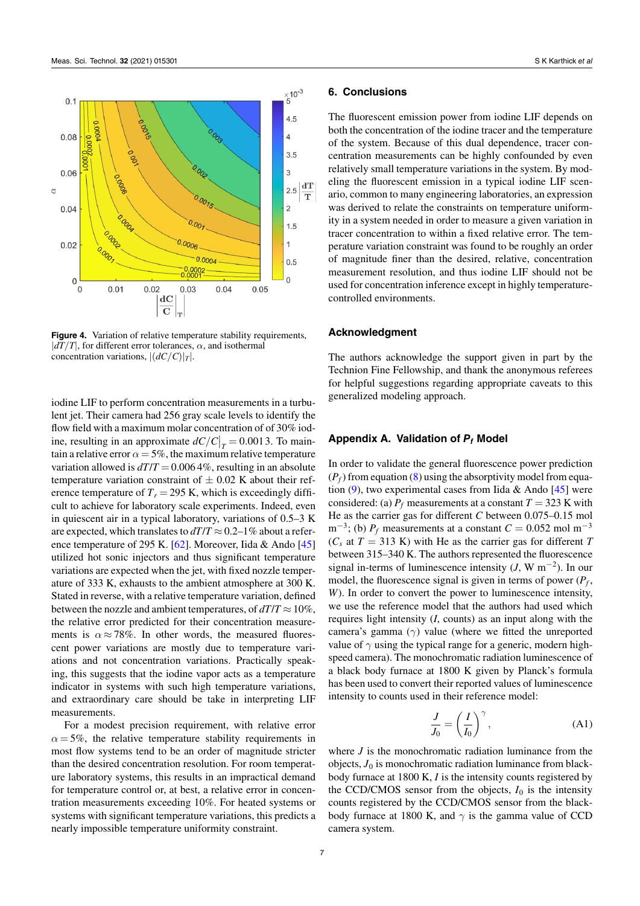<span id="page-6-1"></span>

**Figure 4.** Variation of relative temperature stability requirements,  $\frac{d}{dt}$ *|dT* $/$ *T* $|$ , for different error tolerances,  $\alpha$ , and isothermal concentration variations, *|*(*dC/C*)*|T|*.

iodine LIF to perform concentration measurements in a turbulent jet. Their camera had 256 gray scale levels to identify the flow field with a maximum molar concentration of of 30% iodine, resulting in an approximate  $dC/C|_{T} = 0.0013$ . To maintain a relative error  $\alpha = 5\%$ , the maximum relative temperature variation allowed is  $dT/T = 0.0064\%$ , resulting in an absolute temperature variation constraint of *±* 0.02 K about their reference temperature of  $T_r = 295$  K, which is exceedingly difficult to achieve for laboratory scale experiments. Indeed, even in quiescent air in a typical laboratory, variations of 0.5–3 K are expected, which translates to  $dT/T \approx 0.2-1\%$  about a reference temperature of 295 K. [\[62](#page-9-3)]. Moreover, Iida & Ando [\[45](#page-8-3)] utilized hot sonic injectors and thus significant temperature variations are expected when the jet, with fixed nozzle temperature of 333 K, exhausts to the ambient atmosphere at 300 K. Stated in reverse, with a relative temperature variation, defined between the nozzle and ambient temperatures, of  $dT/T \approx 10\%$ , the relative error predicted for their concentration measurements is  $\alpha \approx 78\%$ . In other words, the measured fluorescent power variations are mostly due to temperature variations and not concentration variations. Practically speaking, this suggests that the iodine vapor acts as a temperature indicator in systems with such high temperature variations, and extraordinary care should be take in interpreting LIF measurements.

For a modest precision requirement, with relative error  $\alpha = 5\%$ , the relative temperature stability requirements in most flow systems tend to be an order of magnitude stricter than the desired concentration resolution. For room temperature laboratory systems, this results in an impractical demand for temperature control or, at best, a relative error in concentration measurements exceeding 10%. For heated systems or systems with significant temperature variations, this predicts a nearly impossible temperature uniformity constraint.

#### **6. Conclusions**

The fluorescent emission power from iodine LIF depends on both the concentration of the iodine tracer and the temperature of the system. Because of this dual dependence, tracer concentration measurements can be highly confounded by even relatively small temperature variations in the system. By modeling the fluorescent emission in a typical iodine LIF scenario, common to many engineering laboratories, an expression was derived to relate the constraints on temperature uniformity in a system needed in order to measure a given variation in tracer concentration to within a fixed relative error. The temperature variation constraint was found to be roughly an order of magnitude finer than the desired, relative, concentration measurement resolution, and thus iodine LIF should not be used for concentration inference except in highly temperaturecontrolled environments.

#### **Acknowledgment**

The authors acknowledge the support given in part by the Technion Fine Fellowship, and thank the anonymous referees for helpful suggestions regarding appropriate caveats to this generalized modeling approach.

#### <span id="page-6-0"></span>**Appendix A. Validation of** *P<sup>f</sup>* **Model**

In order to validate the general fluorescence power prediction  $(P_f)$  from equation  $(8)$  using the absorptivity model from equa-tion [\(9](#page-3-4)),two experimental cases from Iida & Ando  $[45]$  $[45]$  were considered: (a)  $P_f$  measurements at a constant  $T = 323$  K with He as the carrier gas for different *C* between 0.075–0.15 mol m*−*<sup>3</sup> ; (b) *P<sup>f</sup>* measurements at a constant *C* = 0.052 mol m*−*<sup>3</sup>  $(C_s$  at  $T = 313$  K) with He as the carrier gas for different *T* between 315–340 K. The authors represented the fluorescence signal in-terms of luminescence intensity (*J*, W m*−*<sup>2</sup> ). In our model, the fluorescence signal is given in terms of power (*P<sup>f</sup>* , *W*). In order to convert the power to luminescence intensity, we use the reference model that the authors had used which requires light intensity (*I*, counts) as an input along with the camera's gamma (*γ*) value (where we fitted the unreported value of  $\gamma$  using the typical range for a generic, modern highspeed camera). The monochromatic radiation luminescence of a black body furnace at 1800 K given by Planck's formula has been used to convert their reported values of luminescence intensity to counts used in their reference model:

$$
\frac{J}{J_0} = \left(\frac{I}{I_0}\right)^\gamma,\tag{A1}
$$

where *J* is the monochromatic radiation luminance from the objects, *J*<sup>0</sup> is monochromatic radiation luminance from blackbody furnace at 1800 K, *I* is the intensity counts registered by the CCD/CMOS sensor from the objects,  $I_0$  is the intensity counts registered by the CCD/CMOS sensor from the blackbody furnace at 1800 K, and  $\gamma$  is the gamma value of CCD camera system.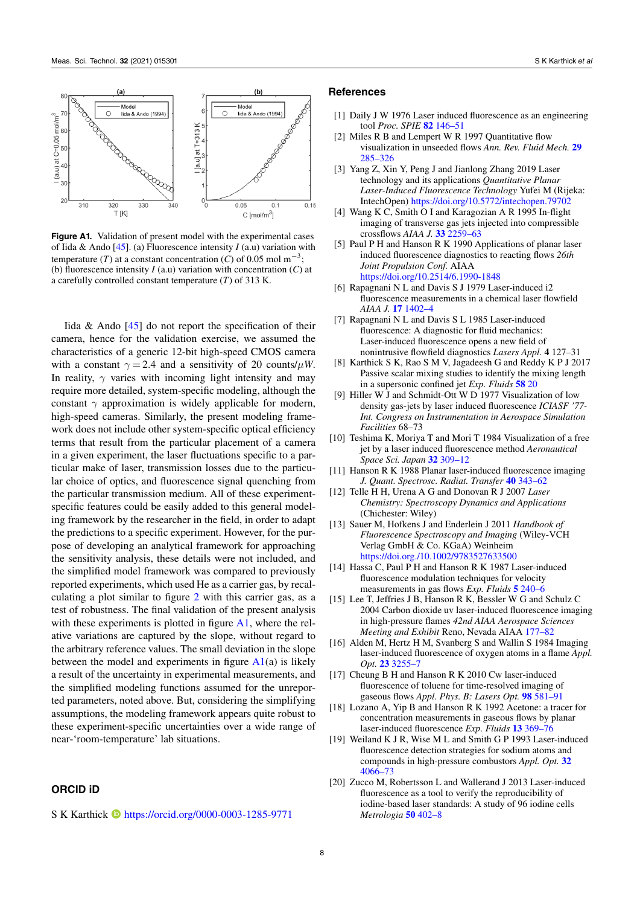<span id="page-7-18"></span>

**Figure A1.** Validation of present model with the experimental cases of Iida & Ando[[45\]](#page-8-3). (a) Fluorescence intensity *I* (a.u) variation with temperature (*T*) at a constant concentration (*C*) of 0.05 mol m*<sup>−</sup>*<sup>3</sup> ; (b) fluorescence intensity *I* (a.u) variation with concentration (*C*) at a carefully controlled constant temperature (*T*) of 313 K.

Iida  $\&$  Ando [\[45](#page-8-3)] do not report the specification of their camera, hence for the validation exercise, we assumed the characteristics of a generic 12-bit high-speed CMOS camera with a constant  $\gamma = 2.4$  and a sensitivity of 20 counts/ $\mu$ *W*. In reality,  $\gamma$  varies with incoming light intensity and may require more detailed, system-specific modeling, although the constant  $\gamma$  approximation is widely applicable for modern, high-speed cameras. Similarly, the present modeling framework does not include other system-specific optical efficiency terms that result from the particular placement of a camera in a given experiment, the laser fluctuations specific to a particular make of laser, transmission losses due to the particular choice of optics, and fluorescence signal quenching from the particular transmission medium. All of these experimentspecific features could be easily added to this general modeling framework by the researcher in the field, in order to adapt the predictions to a specific experiment. However, for the purpose of developing an analytical framework for approaching the sensitivity analysis, these details were not included, and the simplified model framework was compared to previously reported experiments, which used He as a carrier gas, by recalculating a plot similar to figure [2](#page-3-2) with this carrier gas, as a test of robustness. The final validation of the present analysis with these experiments is plotted in figure  $A1$ , where the relative variations are captured by the slope, without regard to the arbitrary reference values. The small deviation in the slope between the model and experiments in figure  $A1(a)$  $A1(a)$  is likely a result of the uncertainty in experimental measurements, and the simplified modeling functions assumed for the unreported parameters, noted above. But, considering the simplifying assumptions, the modeling framework appears quite robust to these experiment-specific uncertainties over a wide range of near-'room-temperature' lab situations.

### **ORCID iD**

S K Karthick **I** <https://orcid.org/0000-0003-1285-9771>

#### **References**

- <span id="page-7-0"></span>[1] Daily J W 1976 Laser induced fluorescence as an engineering tool *Proc. SPIE* **[82](https://doi.org/10.1117/12.954886)** [146–51](https://doi.org/10.1117/12.954886)
- [2] Miles R B and Lempert W R 1997 Quantitative flow visualization in unseeded flows *Ann. Rev. Fluid Mech.* **[29](https://doi.org/10.1146/annurev.fluid.29.1.285)** [285–326](https://doi.org/10.1146/annurev.fluid.29.1.285)
- <span id="page-7-1"></span>[3] Yang Z, Xin Y, Peng J and Jianlong Zhang 2019 Laser technology and its applications *Quantitative Planar Laser-Induced Fluorescence Technology* Yufei M (Rijeka: IntechOpen) <https://doi.org/10.5772/intechopen.79702>
- <span id="page-7-2"></span>[4] Wang K C, Smith O I and Karagozian A R 1995 In-flight imaging of transverse gas jets injected into compressible crossflows *AIAA J.* **[33](https://doi.org/10.2514/3.12977)** [2259–63](https://doi.org/10.2514/3.12977)
- <span id="page-7-3"></span>[5] Paul P H and Hanson R K 1990 Applications of planar laser induced fluorescence diagnostics to reacting flows *26th Joint Propulsion Conf.* AIAA <https://doi.org/10.2514/6.1990-1848>
- <span id="page-7-4"></span>[6] Rapagnani N L and Davis S J 1979 Laser-induced i2 fluorescence measurements in a chemical laser flowfield *AIAA J.* **[17](https://doi.org/10.2514/3.7635)** [1402–4](https://doi.org/10.2514/3.7635)
- [7] Rapagnani N L and Davis S L 1985 Laser-induced fluorescence: A diagnostic for fluid mechanics: Laser-induced fluorescence opens a new field of nonintrusive flowfield diagnostics *Lasers Appl.* **4** 127–31
- <span id="page-7-5"></span>[8] Karthick S K, Rao S M V, Jagadeesh G and Reddy K P J 2017 Passive scalar mixing studies to identify the mixing length in a supersonic confined jet *Exp. Fluids* **[58](https://doi.org/10.1007/s00348-017-2342-x)** [20](https://doi.org/10.1007/s00348-017-2342-x)
- <span id="page-7-6"></span>[9] Hiller W J and Schmidt-Ott W D 1977 Visualization of low density gas-jets by laser induced fluorescence *ICIASF '77- Int. Congress on Instrumentation in Aerospace Simulation Facilities* 68–73
- <span id="page-7-7"></span>[10] Teshima K, Moriya T and Mori T 1984 Visualization of a free jet by a laser induced fluorescence method *Aeronautical Space Sci. Japan* **[32](https://doi.org/10.2322/jjsass1969.32.309)** [309–12](https://doi.org/10.2322/jjsass1969.32.309)
- <span id="page-7-8"></span>[11] Hanson R K 1988 Planar laser-induced fluorescence imaging *J. Quant. Spectrosc. Radiat. Transfer* **[40](https://doi.org/10.1016/0022-4073(88)90125-2)** [343–62](https://doi.org/10.1016/0022-4073(88)90125-2)
- <span id="page-7-16"></span>[12] Telle H H, Urena A G and Donovan R J 2007 *Laser Chemistry: Spectroscopy Dynamics and Applications* (Chichester: Wiley)
- <span id="page-7-17"></span>[13] Sauer M, Hofkens J and Enderlein J 2011 *Handbook of Fluorescence Spectroscopy and Imaging* (Wiley-VCH Verlag GmbH & Co. KGaA) Weinheim <https://doi.org./10.1002/9783527633500>
- <span id="page-7-9"></span>[14] Hassa C, Paul P H and Hanson R K 1987 Laser-induced fluorescence modulation techniques for velocity measurements in gas flows *Exp. Fluids* **[5](https://doi.org/10.1007/BF00279736)** [240–6](https://doi.org/10.1007/BF00279736)
- <span id="page-7-10"></span>[15] Lee T, Jeffries J B, Hanson R K, Bessler W G and Schulz C 2004 Carbon dioxide uv laser-induced fluorescence imaging in high-pressure flames *42nd AIAA Aerospace Sciences Meeting and Exhibit* Reno, Nevada AIAA [177–82](https://doi.org/10.2514/6.2004-386)
- <span id="page-7-11"></span>[16] Alden M, Hertz H M, Svanberg S and Wallin S 1984 Imaging laser-induced fluorescence of oxygen atoms in a flame *Appl. Opt.* **[23](https://doi.org/10.1364/AO.23.003255)** [3255–7](https://doi.org/10.1364/AO.23.003255)
- <span id="page-7-12"></span>[17] Cheung B H and Hanson R K 2010 Cw laser-induced fluorescence of toluene for time-resolved imaging of gaseous flows *Appl. Phys. B: Lasers Opt.* **[98](https://doi.org/10.1007/s00340-009-3785-4)** [581–91](https://doi.org/10.1007/s00340-009-3785-4)
- <span id="page-7-13"></span>[18] Lozano A, Yip B and Hanson R K 1992 Acetone: a tracer for concentration measurements in gaseous flows by planar laser-induced fluorescence *Exp. Fluids* **[13](https://doi.org/10.1007/BF00223244)** [369–76](https://doi.org/10.1007/BF00223244)
- <span id="page-7-14"></span>[19] Weiland K J R, Wise M L and Smith G P 1993 Laser-induced fluorescence detection strategies for sodium atoms and compounds in high-pressure combustors *Appl. Opt.* **[32](https://doi.org/10.1364/AO.32.004066)** [4066–73](https://doi.org/10.1364/AO.32.004066)
- <span id="page-7-15"></span>[20] Zucco M, Robertsson L and Wallerand J 2013 Laser-induced fluorescence as a tool to verify the reproducibility of iodine-based laser standards: A study of 96 iodine cells *Metrologia* **[50](https://doi.org/10.1088/0026-1394/50/4/402)** [402–8](https://doi.org/10.1088/0026-1394/50/4/402)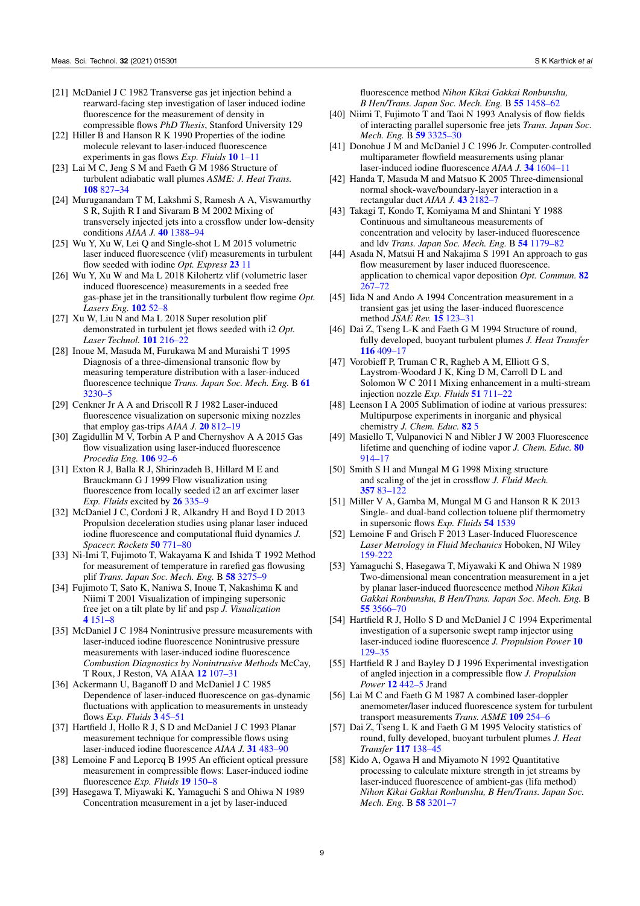- <span id="page-8-0"></span>[21] McDaniel J C 1982 Transverse gas jet injection behind a rearward-facing step investigation of laser induced iodine fluorescence for the measurement of density in compressible flows *PhD Thesis*, Stanford University 129
- <span id="page-8-1"></span>[22] Hiller B and Hanson R K 1990 Properties of the iodine molecule relevant to laser-induced fluorescence experiments in gas flows *Exp. Fluids* **[10](https://doi.org/10.1007/BF00187865)** [1–11](https://doi.org/10.1007/BF00187865)
- <span id="page-8-8"></span>[23] Lai M C, Jeng S M and Faeth G M 1986 Structure of turbulent adiabatic wall plumes *ASME: J. Heat Trans.* **[108](https://doi.org/10.1115/1.3247019)** [827–34](https://doi.org/10.1115/1.3247019)
- <span id="page-8-4"></span>[24] Muruganandam T M, Lakshmi S, Ramesh A A, Viswamurthy S R, Sujith R I and Sivaram B M 2002 Mixing of transversely injected jets into a crossflow under low-density conditions *AIAA J.* **[40](https://doi.org/10.2514/2.1799)** [1388–94](https://doi.org/10.2514/2.1799)
- <span id="page-8-5"></span>[25] Wu Y, Xu W, Lei Q and Single-shot L M 2015 volumetric laser induced fluorescence (vlif) measurements in turbulent flow seeded with iodine *Opt. Express* **[23](https://doi.org/10.1364/OE.23.033408)** [11](https://doi.org/10.1364/OE.23.033408)
- <span id="page-8-6"></span>[26] Wu Y, Xu W and Ma L 2018 Kilohertz vlif (volumetric laser induced fluorescence) measurements in a seeded free gas-phase jet in the transitionally turbulent flow regime *Opt. Lasers Eng.* **[102](https://doi.org/10.1016/j.optlaseng.2017.10.004)** [52–8](https://doi.org/10.1016/j.optlaseng.2017.10.004)
- <span id="page-8-7"></span>[27] Xu W, Liu N and Ma L 2018 Super resolution plif demonstrated in turbulent jet flows seeded with i2 *Opt. Laser Technol.* **[101](https://doi.org/10.1016/j.optlastec.2017.11.024)** [216–22](https://doi.org/10.1016/j.optlastec.2017.11.024)
- <span id="page-8-9"></span>[28] Inoue M, Masuda M, Furukawa M and Muraishi T 1995 Diagnosis of a three-dimensional transonic flow by measuring temperature distribution with a laser-induced fluorescence technique *Trans. Japan Soc. Mech. Eng.* B **[61](https://doi.org/10.1299/kikaib.61.3230)** [3230–5](https://doi.org/10.1299/kikaib.61.3230)
- <span id="page-8-10"></span>[29] Cenkner Jr A A and Driscoll R J 1982 Laser-induced fluorescence visualization on supersonic mixing nozzles that employ gas-trips *AIAA J.* **[20](https://doi.org/10.2514/3.7945)** [812–19](https://doi.org/10.2514/3.7945)
- <span id="page-8-11"></span>[30] Zagidullin M V, Torbin A P and Chernyshov A A 2015 Gas flow visualization using laser-induced fluorescence *Procedia Eng.* **[106](https://doi.org/10.1016/j.proeng.2015.06.012)** [92–6](https://doi.org/10.1016/j.proeng.2015.06.012)
- <span id="page-8-12"></span>[31] Exton R J, Balla R J, Shirinzadeh B, Hillard M E and Brauckmann G J 1999 Flow visualization using fluorescence from locally seeded i2 an arf excimer laser *Exp. Fluids* excited by **[26](https://doi.org/10.1007/s003480050296)** [335–9](https://doi.org/10.1007/s003480050296)
- <span id="page-8-13"></span>[32] McDaniel J C, Cordoni J R, Alkandry H and Boyd I D 2013 Propulsion deceleration studies using planar laser induced iodine fluorescence and computational fluid dynamics *J. Spacecr. Rockets* **[50](https://doi.org/10.2514/1.A32328)** [771–80](https://doi.org/10.2514/1.A32328)
- <span id="page-8-14"></span>[33] Ni-Imi T, Fujimoto T, Wakayama K and Ishida T 1992 Method for measurement of temperature in rarefied gas flowusing plif *Trans. Japan Soc. Mech. Eng.* B **[58](https://doi.org/10.1299/kikaib.58.3275)** [3275–9](https://doi.org/10.1299/kikaib.58.3275)
- <span id="page-8-15"></span>[34] Fujimoto T, Sato K, Naniwa S, Inoue T, Nakashima K and Niimi T 2001 Visualization of impinging supersonic free jet on a tilt plate by lif and psp *J. Visualization* **[4](https://doi.org/10.1007/BF03182568)** [151–8](https://doi.org/10.1007/BF03182568)
- <span id="page-8-16"></span>[35] McDaniel J C 1984 Nonintrusive pressure measurements with laser-induced iodine fluorescence Nonintrusive pressure measurements with laser-induced iodine fluorescence *Combustion Diagnostics by Nonintrusive Methods* McCay, T Roux, J Reston, VA AIAA **[12](https://doi.org/10.2514/5.9781600865657.0107.0131)** [107–31](https://doi.org/10.2514/5.9781600865657.0107.0131)
- [36] Ackermann U, Baganoff D and McDaniel J C 1985 Dependence of laser-induced fluorescence on gas-dynamic fluctuations with application to measurements in unsteady flows *Exp. Fluids* **[3](https://doi.org/10.1007/BF00285270)** [45–51](https://doi.org/10.1007/BF00285270)
- <span id="page-8-19"></span>[37] Hartfield J, Hollo R J, S D and McDaniel J C 1993 Planar measurement technique for compressible flows using laser-induced iodine fluorescence *AIAA J.* **[31](https://doi.org/10.2514/3.11355)** [483–90](https://doi.org/10.2514/3.11355)
- <span id="page-8-17"></span>[38] Lemoine F and Leporcq B 1995 An efficient optical pressure measurement in compressible flows: Laser-induced iodine fluorescence *Exp. Fluids* **[19](https://doi.org/10.1007/BF00189703)** [150–8](https://doi.org/10.1007/BF00189703)
- <span id="page-8-18"></span>[39] Hasegawa T, Miyawaki K, Yamaguchi S and Ohiwa N 1989 Concentration measurement in a jet by laser-induced

fluorescence method *Nihon Kikai Gakkai Ronbunshu, B Hen/Trans. Japan Soc. Mech. Eng.* B **[55](https://doi.org/10.1299/kikaib.55.1458)** [1458–62](https://doi.org/10.1299/kikaib.55.1458)

- <span id="page-8-20"></span>[40] Niimi T, Fujimoto T and Taoi N 1993 Analysis of flow fields of interacting parallel supersonic free jets *Trans. Japan Soc. Mech. Eng.* B **[59](https://doi.org/10.1299/kikaib.59.3325)** [3325–30](https://doi.org/10.1299/kikaib.59.3325)
- <span id="page-8-35"></span>[41] Donohue J M and McDaniel J C 1996 Jr. Computer-controlled multiparameter flowfield measurements using planar laser-induced iodine fluorescence *AIAA J.* **[34](https://doi.org/10.2514/3.13278)** [1604–11](https://doi.org/10.2514/3.13278)
- <span id="page-8-21"></span>[42] Handa T, Masuda M and Matsuo K 2005 Three-dimensional normal shock-wave/boundary-layer interaction in a rectangular duct *AIAA J.* **[43](https://doi.org/10.2514/1.12976)** [2182–7](https://doi.org/10.2514/1.12976)
- <span id="page-8-22"></span>[43] Takagi T, Kondo T, Komiyama M and Shintani Y 1988 Continuous and simultaneous measurements of concentration and velocity by laser-induced fluorescence and ldv *Trans. Japan Soc. Mech. Eng.* B **[54](https://doi.org/10.1299/kikaib.54.1179)** [1179–82](https://doi.org/10.1299/kikaib.54.1179)
- <span id="page-8-29"></span>[44] Asada N, Matsui H and Nakajima S 1991 An approach to gas flow measurement by laser induced fluorescence. application to chemical vapor deposition *Opt. Commun.* **[82](https://doi.org/10.1016/0030-4018(91)90457-O)** [267–72](https://doi.org/10.1016/0030-4018(91)90457-O)
- <span id="page-8-3"></span>[45] Iida N and Ando A 1994 Concentration measurement in a transient gas jet using the laser-induced fluorescence method *JSAE Rev.* **[15](https://doi.org/10.1016/0389-4304(94)90022-1)** [123–31](https://doi.org/10.1016/0389-4304(94)90022-1)
- <span id="page-8-32"></span>[46] Dai Z, Tseng L-K and Faeth G M 1994 Structure of round, fully developed, buoyant turbulent plumes *J. Heat Transfer* **[116](https://doi.org/10.1115/1.2911413)** [409–17](https://doi.org/10.1115/1.2911413)
- <span id="page-8-23"></span>[47] Vorobieff P, Truman C R, Ragheb A M, Elliott G S, Laystrom-Woodard J K, King D M, Carroll D L and Solomon W C 2011 Mixing enhancement in a multi-stream injection nozzle *Exp. Fluids* **[51](https://doi.org/10.1007/s00348-011-1090-6)** [711–22](https://doi.org/10.1007/s00348-011-1090-6)
- <span id="page-8-24"></span>[48] Leenson I A 2005 Sublimation of iodine at various pressures: Multipurpose experiments in inorganic and physical chemistry *J. Chem. Educ.* **[82](https://doi.org/10.1021/ed082p241)** [5](https://doi.org/10.1021/ed082p241)
- <span id="page-8-25"></span>[49] Masiello T, Vulpanovici N and Nibler J W 2003 Fluorescence lifetime and quenching of iodine vapor *J. Chem. Educ.* **[80](https://doi.org/10.1021/ed080p914)** [914–17](https://doi.org/10.1021/ed080p914)
- <span id="page-8-26"></span>[50] Smith S H and Mungal M G 1998 Mixing structure and scaling of the jet in crossflow *J. Fluid Mech.* **[357](https://doi.org/10.1017/S0022112097007891)** [83–122](https://doi.org/10.1017/S0022112097007891)
- <span id="page-8-27"></span>[51] Miller V A, Gamba M, Mungal M G and Hanson R K 2013 Single- and dual-band collection toluene plif thermometry in supersonic flows *Exp. Fluids* **[54](https://doi.org/10.1007/s00348-013-1539-x)** [1539](https://doi.org/10.1007/s00348-013-1539-x)
- <span id="page-8-28"></span>[52] Lemoine F and Grisch F 2013 Laser-Induced Fluorescence *Laser Metrology in Fluid Mechanics* Hoboken, NJ Wiley [159-222](https://doi.org/10.1002/9781118576847.ch3)
- <span id="page-8-30"></span>[53] Yamaguchi S, Hasegawa T, Miyawaki K and Ohiwa N 1989 Two-dimensional mean concentration measurement in a jet by planar laser-induced fluorescence method *Nihon Kikai Gakkai Ronbunshu, B Hen/Trans. Japan Soc. Mech. Eng.* B **[55](https://doi.org/10.1299/kikaib.55.3566)** [3566–70](https://doi.org/10.1299/kikaib.55.3566)
- [54] Hartfield R J, Hollo S D and McDaniel J C 1994 Experimental investigation of a supersonic swept ramp injector using laser-induced iodine fluorescence *J. Propulsion Power* **[10](https://doi.org/10.2514/3.23721)** [129–35](https://doi.org/10.2514/3.23721)
- <span id="page-8-31"></span>[55] Hartfield R J and Bayley D J 1996 Experimental investigation of angled injection in a compressible flow *J. Propulsion Power* **[12](https://doi.org/10.2514/3.24054)** [442–5](https://doi.org/10.2514/3.24054) Jrand
- <span id="page-8-33"></span>[56] Lai M C and Faeth G M 1987 A combined laser-doppler anemometer/laser induced fluorescence system for turbulent transport measurements *Trans. ASME* **[109](https://doi.org/10.1115/1.3248055)** [254–6](https://doi.org/10.1115/1.3248055)
- <span id="page-8-34"></span>[57] Dai Z, Tseng L K and Faeth G M 1995 Velocity statistics of round, fully developed, buoyant turbulent plumes *J. Heat Transfer* **[117](https://doi.org/10.1115/1.2822294)** [138–45](https://doi.org/10.1115/1.2822294)
- <span id="page-8-2"></span>[58] Kido A, Ogawa H and Miyamoto N 1992 Quantitative processing to calculate mixture strength in jet streams by laser-induced fluorescence of ambient-gas (lifa method) *Nihon Kikai Gakkai Ronbunshu, B Hen/Trans. Japan Soc. Mech. Eng.* B **[58](https://doi.org/10.1299/kikaib.58.3201)** [3201–7](https://doi.org/10.1299/kikaib.58.3201)